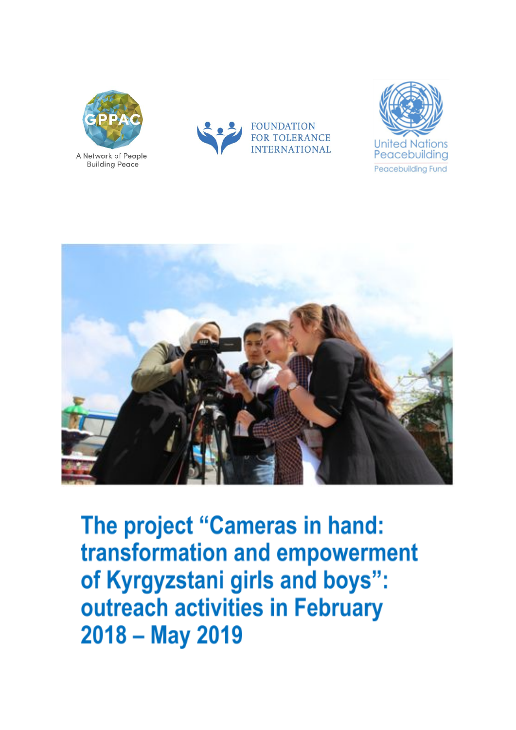

A Network of People **Building Peace** 







The project "Cameras in hand: transformation and empowerment of Kyrgyzstani girls and boys": outreach activities in February  $2018 - May 2019$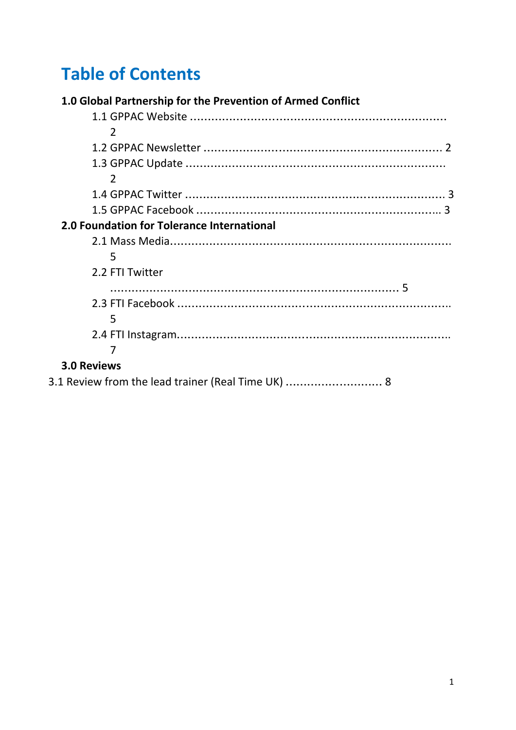# **Table of Contents**

| 1.0 Global Partnership for the Prevention of Armed Conflict |  |
|-------------------------------------------------------------|--|
|                                                             |  |
| $\mathcal{L}$                                               |  |
|                                                             |  |
|                                                             |  |
| $\mathcal{L}$                                               |  |
|                                                             |  |
|                                                             |  |
| 2.0 Foundation for Tolerance International                  |  |
|                                                             |  |
| 5                                                           |  |
| 2.2 FTI Twitter                                             |  |
|                                                             |  |
|                                                             |  |
| 5                                                           |  |
|                                                             |  |
|                                                             |  |
| <b>3.0 Reviews</b>                                          |  |
| 3.1 Review from the lead trainer (Real Time UK)  8          |  |
|                                                             |  |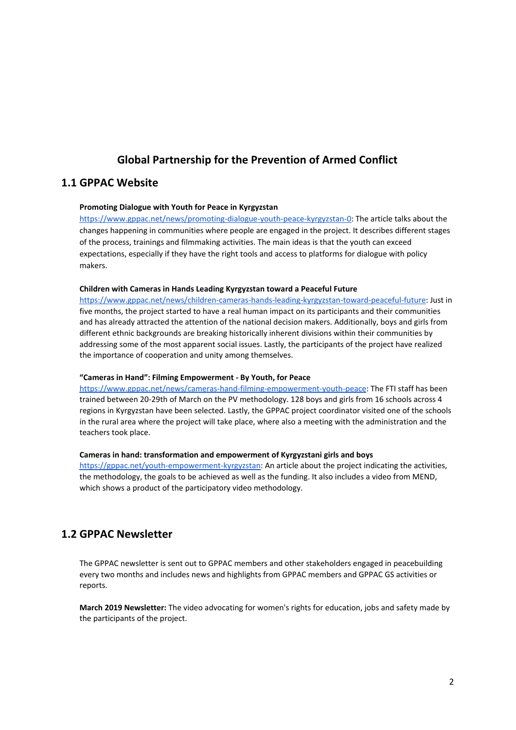# **Global Partnership for the Prevention of Armed Conflict**

## **1.1 GPPAC Website**

#### **Promoting Dialogue with Youth for Peace in Kyrgyzstan**

[https://www.gppac.net/news/promoting-dialogue-youth-peace-kyrgyzstan-0:](https://www.gppac.net/news/promoting-dialogue-youth-peace-kyrgyzstan-0) The article talks about the changes happening in communities where people are engaged in the project. It describes different stages of the process, trainings and filmmaking activities. The main ideas is that the youth can exceed expectations, especially if they have the right tools and access to platforms for dialogue with policy makers.

#### **Children with Cameras in Hands Leading Kyrgyzstan toward a Peaceful Future**

<https://www.gppac.net/news/children-cameras-hands-leading-kyrgyzstan-toward-peaceful-future>: Just in five months, the project started to have a real human impact on its participants and their communities and has already attracted the attention of the national decision makers. Additionally, boys and girls from different ethnic backgrounds are breaking historically inherent divisions within their communities by addressing some of the most apparent social issues. Lastly, the participants of the project have realized the importance of cooperation and unity among themselves.

#### **"Cameras in Hand": Filming Empowerment - By Youth, for Peace**

<https://www.gppac.net/news/cameras-hand-filming-empowerment-youth-peace>: The FTI staff has been trained between 20-29th of March on the PV methodology. 128 boys and girls from 16 schools across 4 regions in Kyrgyzstan have been selected. Lastly, the GPPAC project coordinator visited one of the schools in the rural area where the project will take place, where also a meeting with the administration and the teachers took place.

#### **Cameras in hand: transformation and empowerment of Kyrgyzstani girls and boys**

<https://gppac.net/youth-empowerment-kyrgyzstan>: An article about the project indicating the activities, the methodology, the goals to be achieved as well as the funding. It also includes a video from MEND, which shows a product of the participatory video methodology.

## **1.2 GPPAC Newsletter**

The GPPAC newsletter is sent out to GPPAC members and other stakeholders engaged in peacebuilding every two months and includes news and highlights from GPPAC members and GPPAC GS activities or reports.

**March 2019 Newsletter:** The video advocating for women's rights for education, jobs and safety made by the participants of the project.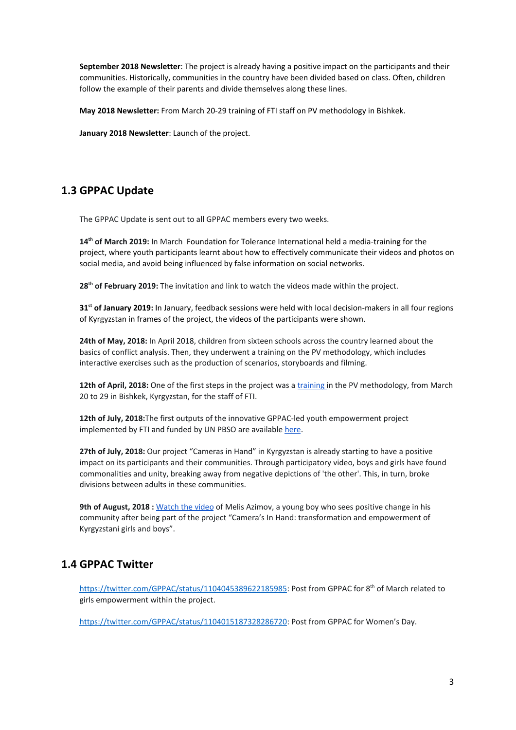**September 2018 Newsletter**: The project is already having a positive impact on the participants and their communities. Historically, communities in the country have been divided based on class. Often, children follow the example of their parents and divide themselves along these lines.

**May 2018 Newsletter:** From March 20-29 training of FTI staff on PV methodology in Bishkek.

**January 2018 Newsletter**: Launch of the project.

# **1.3 GPPAC Update**

The GPPAC Update is sent out to all GPPAC members every two weeks.

**14 th of March 2019:** In March Foundation for Tolerance International held a media-training for the project, where youth participants learnt about how to effectively communicate their videos and photos on social media, and avoid being influenced by false information on social networks.

**28 th of February 2019:** The invitation and link to watch the videos made within the project.

**31 st of January 2019:** In January, feedback sessions were held with local decision-makers in all four regions of Kyrgyzstan in frames of the project, the videos of the participants were shown.

**24th of May, 2018:** In April 2018, children from sixteen schools across the country learned about the basics of conflict analysis. Then, they underwent a training on the PV methodology, which includes interactive exercises such as the production of scenarios, storyboards and filming.

**12th of April, 2018:** One of the first steps in the project was a [training](https://gppac.us7.list-manage.com/track/click?u=559829eb6027c27d2658b2173&id=7e969e3f72&e=9a127d79e8) in the PV methodology, from March 20 to 29 in Bishkek, Kyrgyzstan, for the staff of FTI.

**12th of July, 2018:**The first outputs of the innovative GPPAC-led youth empowerment project implemented by FTI and funded by UN PBSO are available [here.](https://gppac.us7.list-manage.com/track/click?u=559829eb6027c27d2658b2173&id=e432f28e77&e=9a127d79e8)

**27th of July, 2018:** Our project "Cameras in Hand" in Kyrgyzstan is already starting to have a positive impact on its participants and their communities. Through participatory video, boys and girls have found commonalities and unity, breaking away from negative depictions of 'the other'. This, in turn, broke divisions between adults in these communities.

**9th of August, 2018 [:](https://gppac.us7.list-manage.com/track/click?u=559829eb6027c27d2658b2173&id=bf66f4a33c&e=9a127d79e8)** [Watch](https://gppac.us7.list-manage.com/track/click?u=559829eb6027c27d2658b2173&id=bf66f4a33c&e=9a127d79e8) the video of Melis Azimov, a young boy who sees positive change in his community after being part of the project "Camera's In Hand: transformation and empowerment of Kyrgyzstani girls and boys".

# **1.4 GPPAC Twitter**

https://twitter.com/GPPAC/status/1104045389622185985</u>: Post from GPPAC for 8<sup>th</sup> of March related to girls empowerment within the project.

https://twitter.com/GPPAC/status/1104015187328286720</u>: Post from GPPAC for Women's Day.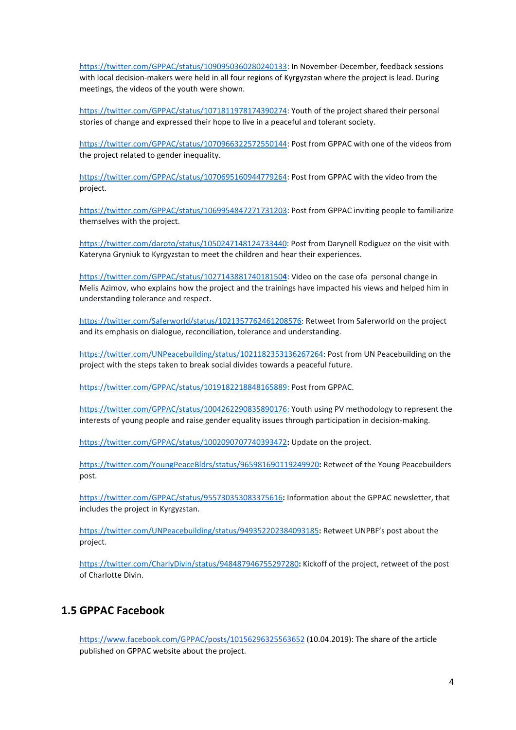[https://twitter.com/GPPAC/status/1090950360280240133:](https://twitter.com/GPPAC/status/1090950360280240133) In November-December, feedback sessions with local decision-makers were held in all four regions of Kyrgyzstan where the project is lead. During meetings, the videos of the youth were shown.

[https://twitter.com/GPPAC/status/1071811978174390274:](https://twitter.com/GPPAC/status/1071811978174390274) Youth of the project shared their personal stories of change and expressed their hope to live in a peaceful and tolerant society.

[https://twitter.com/GPPAC/status/1070966322572550144:](https://twitter.com/GPPAC/status/1070966322572550144) Post from GPPAC with one of the videos from the project related to gender inequality.

[https://twitter.com/GPPAC/status/1070695160944779264:](https://twitter.com/GPPAC/status/1070695160944779264) Post from GPPAC with the video from the project.

[https://twitter.com/GPPAC/status/1069954847271731203:](https://twitter.com/GPPAC/status/1069954847271731203) Post from GPPAC inviting people to familiarize themselves with the project.

<https://twitter.com/daroto/status/1050247148124733440>: Post from Darynell Rodiguez on the visit with Kateryna Gryniuk to Kyrgyzstan to meet the children and hear their experiences.

[https://twitter.com/GPPAC/status/102714388174018150](https://twitter.com/GPPAC/status/1027143881740181504)**[4](https://twitter.com/GPPAC/status/1027143881740181504)**: Video on the case ofa personal change in Melis Azimov, who explains how the project and the trainings have impacted his views and helped him in understanding tolerance and respect.

<https://twitter.com/Saferworld/status/1021357762461208576>: Retweet from Saferworld on the project and its emphasis on dialogue, reconciliation, tolerance and understanding.

[https://twitter.com/UNPeacebuilding/status/1021182353136267264:](https://twitter.com/UNPeacebuilding/status/1021182353136267264) Post from UN Peacebuilding on the project with the steps taken to break social divides towards a peaceful future.

[https://twitter.com/GPPAC/status/1019182218848165889:](https://twitter.com/GPPAC/status/1019182218848165889) Post from GPPAC.

[https://twitter.com/GPPAC/status/1004262290835890176:](https://twitter.com/GPPAC/status/1004262290835890176) Youth using PV methodology to represent the interests of young people and raise gender equality issues through participation in decision-making.

<https://twitter.com/GPPAC/status/1002090707740393472>**:** Update on the project.

<https://twitter.com/YoungPeaceBldrs/status/965981690119249920>**:** Retweet of the Young Peacebuilders post.

<https://twitter.com/GPPAC/status/955730353083375616>**:** Information about the GPPAC newsletter, that includes the project in Kyrgyzstan.

<https://twitter.com/UNPeacebuilding/status/949352202384093185>**:** Retweet UNPBF's post about the project.

<https://twitter.com/CharlyDivin/status/948487946755297280>**:** Kickoff of the project, retweet of the post of Charlotte Divin.

#### **1.5 GPPAC Facebook**

<https://www.facebook.com/GPPAC/posts/10156296325563652> (10.04.2019): The share of the article published on GPPAC website about the project.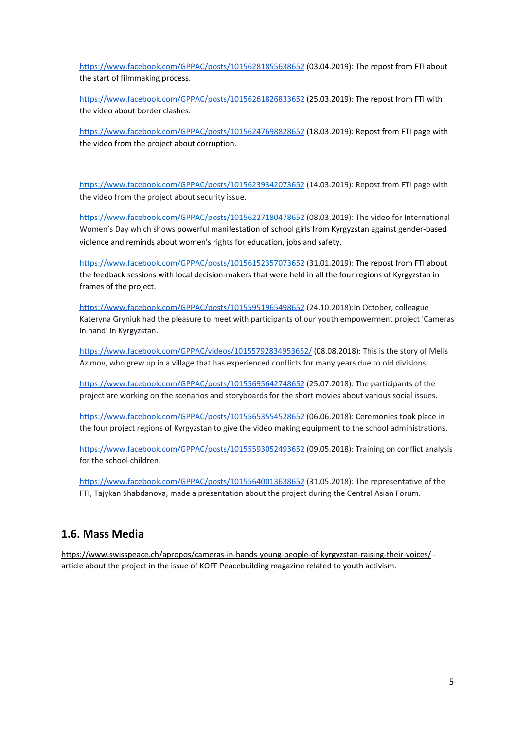<https://www.facebook.com/GPPAC/posts/10156281855638652> (03.04.2019): The repost from FTI about the start of filmmaking process.

<https://www.facebook.com/GPPAC/posts/10156261826833652> (25.03.2019): The repost from FTI with the video about border clashes.

<https://www.facebook.com/GPPAC/posts/10156247698828652> (18.03.2019): Repost from FTI page with the video from the project about corruption.

<https://www.facebook.com/GPPAC/posts/10156239342073652> (14.03.2019): Repost from FTI page with the video from the project about security issue.

<https://www.facebook.com/GPPAC/posts/10156227180478652> (08.03.2019): The video for International Women's Day which shows powerful manifestation of school girls from Kyrgyzstan against gender-based violence and reminds about women's rights for education, jobs and safety.

<https://www.facebook.com/GPPAC/posts/10156152357073652> (31.01.2019): The repost from FTI about the feedback sessions with local decision-makers that were held in all the four regions of Kyrgyzstan in frames of the project.

<https://www.facebook.com/GPPAC/posts/10155951965498652> (24.10.2018):In October, colleague Kateryna Gryniuk had the pleasure to meet with participants of our youth empowerment project 'Cameras in hand' in Kyrgyzstan.

<https://www.facebook.com/GPPAC/videos/10155792834953652/> (08.08.2018): This is the story of Melis Azimov, who grew up in a village that has experienced conflicts for many years due to old divisions.

<https://www.facebook.com/GPPAC/posts/10155695642748652> (25.07.2018): The participants of the project are working on the scenarios and storyboards for the short movies about various social issues.

<https://www.facebook.com/GPPAC/posts/10155653554528652> (06.06.2018): Ceremonies took place in the four project regions of Kyrgyzstan to give the video making equipment to the school administrations.

<https://www.facebook.com/GPPAC/posts/10155593052493652> (09.05.2018): Training on conflict analysis for the school children.

<https://www.facebook.com/GPPAC/posts/10155640013638652> (31.05.2018): The representative of the FTI, Tajykan Shabdanova, made a presentation about the project during the Central Asian Forum.

## **1.6. Mass Media**

<https://www.swisspeace.ch/apropos/cameras-in-hands-young-people-of-kyrgyzstan-raising-their-voices/> article about the project in the issue of KOFF Peacebuilding magazine related to youth activism.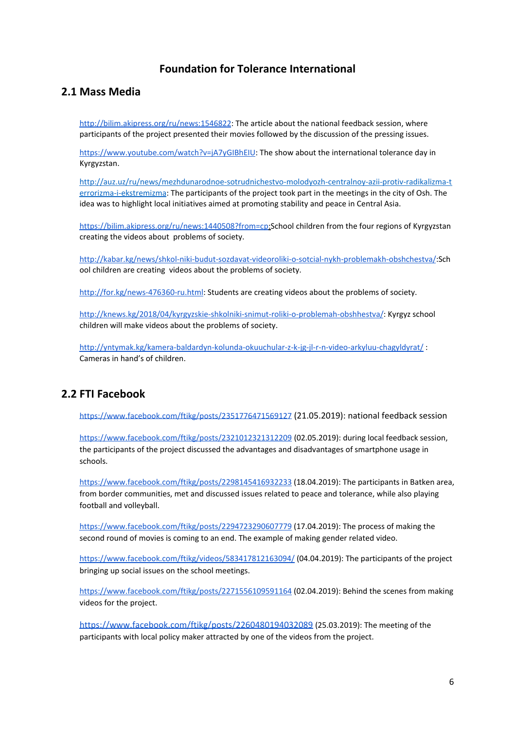# **Foundation for Tolerance International**

## **2.1 Mass Media**

<http://bilim.akipress.org/ru/news:1546822>: The article about the national feedback session, where participants of the project presented their movies followed by the discussion of the pressing issues.

<https://www.youtube.com/watch?v=jA7yGIBhEIU>: The show about the international tolerance day in Kyrgyzstan.

[http://auz.uz/ru/news/mezhdunarodnoe-sotrudnichestvo-molodyozh-centralnoy-azii-protiv-radikalizma-t](http://auz.uz/ru/news/mezhdunarodnoe-sotrudnichestvo-molodyozh-centralnoy-azii-protiv-radikalizma-terrorizma-i-ekstremizma) [errorizma-i-ekstremizma](http://auz.uz/ru/news/mezhdunarodnoe-sotrudnichestvo-molodyozh-centralnoy-azii-protiv-radikalizma-terrorizma-i-ekstremizma): The participants of the project took part in the meetings in the city of Osh. The idea was to highlight local initiatives aimed at promoting stability and peace in Central Asia.

<https://bilim.akipress.org/ru/news:1440508?from=cp>:School children from the four regions of Kyrgyzstan creating the videos about problems of society.

[http://kabar.kg/news/shkol-niki-budut-sozdavat-videoroliki-o-sotcial-nykh-problemakh-obshchestva/:](http://kabar.kg/news/shkol-niki-budut-sozdavat-videoroliki-o-sotcial-nykh-problemakh-obshchestva/)Sch ool children are creating videos about the problems of society.

<http://for.kg/news-476360-ru.html>: Students are creating videos about the problems of society.

<http://knews.kg/2018/04/kyrgyzskie-shkolniki-snimut-roliki-o-problemah-obshhestva/>: Kyrgyz school children will make videos about the problems of society.

<http://yntymak.kg/kamera-baldardyn-kolunda-okuuchular-z-k-jg-jl-r-n-video-arkyluu-chagyldyrat/> : Cameras in hand's of children.

# **2.2 FTI Facebook**

<https://www.facebook.com/ftikg/posts/2351776471569127> (21.05.2019): national feedback session

<https://www.facebook.com/ftikg/posts/2321012321312209> (02.05.2019): during local feedback session, the participants of the project discussed the advantages and disadvantages of smartphone usage in schools.

<https://www.facebook.com/ftikg/posts/2298145416932233> (18.04.2019): The participants in Batken area, from border communities, met and discussed issues related to peace and tolerance, while also playing football and volleyball.

<https://www.facebook.com/ftikg/posts/2294723290607779> (17.04.2019): The process of making the second round of movies is coming to an end. The example of making gender related video.

<https://www.facebook.com/ftikg/videos/583417812163094/> (04.04.2019): The participants of the project bringing up social issues on the school meetings.

[https://www.facebook.com/ftikg/posts/2271556109591164](https://www.facebook.com/ftikg/posts/2271556109591164?__tn__=-R) (02.04.2019): Behind the scenes from making videos for the project.

<https://www.facebook.com/ftikg/posts/2260480194032089> (25.03.2019): The meeting of the participants with local policy maker attracted by one of the videos from the project.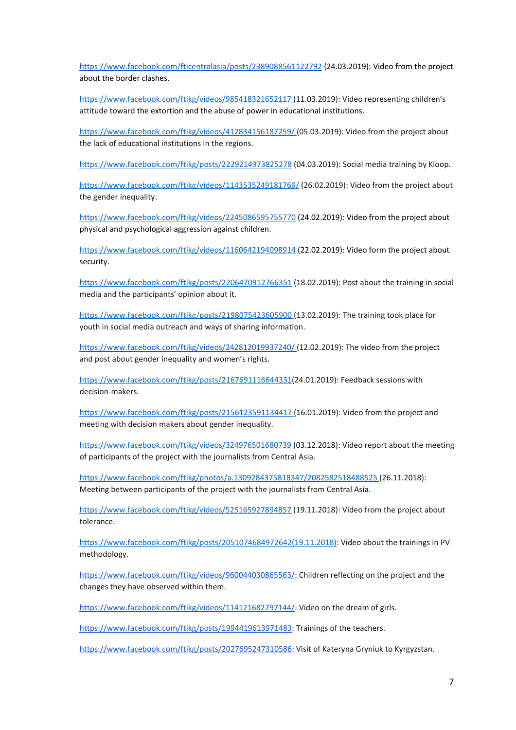<https://www.facebook.com/fticentralasia/posts/2389088561122792> (24.03.2019): Video from the project about the border clashes.

<https://www.facebook.com/ftikg/videos/985418321652117> (11.03.2019): Video representing children's attitude toward the extortion and the abuse of power in educational institutions.

<https://www.facebook.com/ftikg/videos/412834156187259/> (05.03.2019): Video from the project about the lack of educational institutions in the regions.

<https://www.facebook.com/ftikg/posts/2229214973825278> (04.03.2019): Social media training by Kloop.

<https://www.facebook.com/ftikg/videos/1143535249181769/> (26.02.2019): Video from the project about the gender inequality.

<https://www.facebook.com/ftikg/videos/2245086595755770> (24.02.2019): Video from the project about physical and psychological aggression against children.

<https://www.facebook.com/ftikg/videos/1160642194098914> (22.02.2019): Video form the project about security.

<https://www.facebook.com/ftikg/posts/2206470912766351> (18.02.2019): Post about the training in social media and the participants' opinion about it.

<https://www.facebook.com/ftikg/posts/2198075423605900> (13.02.2019): The training took place for youth in social media outreach and ways of sharing information.

https://www.facebook.com/ftikg/videos/242812019937240/ (12.02.2019): The video from the project and post about gender inequality and women's rights.

[https://www.facebook.com/ftikg/posts/2167691116644331](https://www.facebook.com/ftikg/posts/2167691116644331(24.01.2019))(24.01.2019): Feedback sessions with decision-makers.

<https://www.facebook.com/ftikg/posts/2156123591134417> (16.01.2019): Video from the project and meeting with decision makers about gender inequality.

<https://www.facebook.com/ftikg/videos/324976501680739> (03.12.2018): Video report about the meeting of participants of the project with the journalists from Central Asia.

<https://www.facebook.com/ftikg/photos/a.1309284375818347/2082582518488525> (26.11.2018): Meeting between participants of the project with the journalists from Central Asia.

<https://www.facebook.com/ftikg/videos/525165927894857> (19.11.2018): Video from the project about tolerance.

[https://www.facebook.com/ftikg/posts/2051074684972642\(19.11.2018\):](https://www.facebook.com/ftikg/posts/2051074684972642(19.11.2018)) Video about the trainings in PV methodology.

[https://www.facebook.com/ftikg/videos/960044030865563/:](https://www.facebook.com/ftikg/videos/960044030865563/) Children reflecting on the project and the changes they have observed within them.

[https://www.facebook.com/ftikg/videos/114121682797144/:](https://www.facebook.com/ftikg/videos/114121682797144/) Video on the dream of girls.

<https://www.facebook.com/ftikg/posts/1994419613971483></u>: Trainings of the teachers.

<https://www.facebook.com/ftikg/posts/2027695247310586>: Visit of Kateryna Gryniuk to Kyrgyzstan.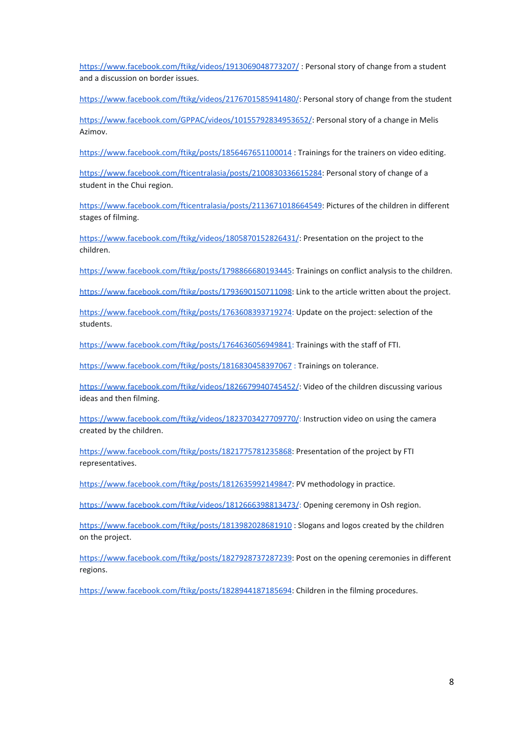<https://www.facebook.com/ftikg/videos/1913069048773207/>: Personal story of change from a student and a discussion on border issues.

<https://www.facebook.com/ftikg/videos/2176701585941480/>: Personal story of change from the student

<https://www.facebook.com/GPPAC/videos/10155792834953652/>: Personal story of a change in Melis Azimov.

<https://www.facebook.com/ftikg/posts/1856467651100014> : Trainings for the trainers on video editing.

<https://www.facebook.com/fticentralasia/posts/2100830336615284>: Personal story of change of a student in the Chui region.

<https://www.facebook.com/fticentralasia/posts/2113671018664549>: Pictures of the children in different stages of filming.

<https://www.facebook.com/ftikg/videos/1805870152826431/>: Presentation on the project to the children.

<https://www.facebook.com/ftikg/posts/1798866680193445>: Trainings on conflict analysis to the children.

<https://www.facebook.com/ftikg/posts/1793690150711098>: Link to the article written about the project.

<https://www.facebook.com/ftikg/posts/1763608393719274>: Update on the project: selection of the students.

<https://www.facebook.com/ftikg/posts/1764636056949841>: Trainings with the staff of FTI.

<https://www.facebook.com/ftikg/posts/1816830458397067> : Trainings on tolerance.

<https://www.facebook.com/ftikg/videos/1826679940745452/>: Video of the children discussing various ideas and then filming.

<https://www.facebook.com/ftikg/videos/1823703427709770/>: Instruction video on using the camera created by the children.

<https://www.facebook.com/ftikg/posts/1821775781235868>: Presentation of the project by FTI representatives.

<https://www.facebook.com/ftikg/posts/1812635992149847>: PV methodology in practice.

<https://www.facebook.com/ftikg/videos/1812666398813473/>: Opening ceremony in Osh region.

<https://www.facebook.com/ftikg/posts/1813982028681910> : Slogans and logos created by the children on the project.

<https://www.facebook.com/ftikg/posts/1827928737287239>: Post on the opening ceremonies in different regions.

<https://www.facebook.com/ftikg/posts/1828944187185694>: Children in the filming procedures.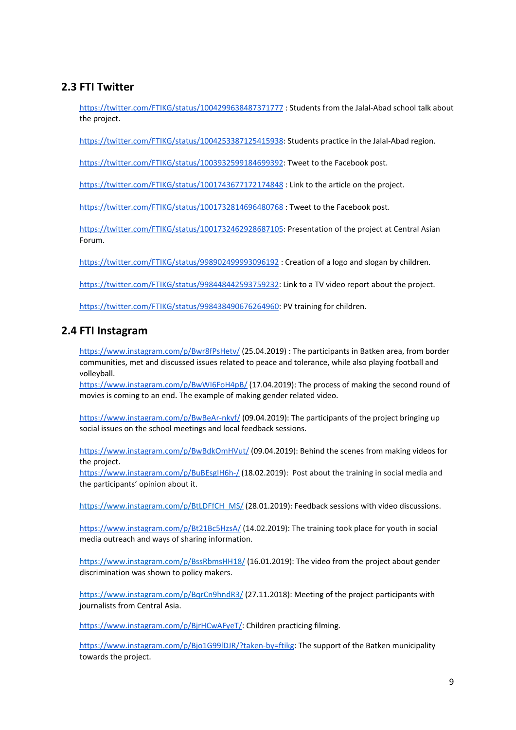# **2.3 FTI Twitter**

<https://twitter.com/FTIKG/status/1004299638487371777> : Students from the Jalal-Abad school talk about the project.

<https://twitter.com/FTIKG/status/1004253387125415938>: Students practice in the Jalal-Abad region.

<https://twitter.com/FTIKG/status/1003932599184699392>: Tweet to the Facebook post.

<https://twitter.com/FTIKG/status/1001743677172174848> : Link to the article on the project.

<https://twitter.com/FTIKG/status/1001732814696480768> : Tweet to the Facebook post.

<https://twitter.com/FTIKG/status/1001732462928687105>: Presentation of the project at Central Asian Forum.

<https://twitter.com/FTIKG/status/998902499993096192> : Creation of a logo and slogan by children.

<https://twitter.com/FTIKG/status/998448442593759232>: Link to a TV video report about the project.

<https://twitter.com/FTIKG/status/998438490676264960>: PV training for children.

## **2.4 FTI Instagram**

<https://www.instagram.com/p/Bwr8fPsHetv/> (25.04.2019) : The participants in Batken area, from border communities, met and discussed issues related to peace and tolerance, while also playing football and volleyball.

<https://www.instagram.com/p/BwWI6FoH4pB/> (17.04.2019): The process of making the second round of movies is coming to an end. The example of making gender related video.

<https://www.instagram.com/p/BwBeAr-nkyf/> (09.04.2019): The participants of the project bringing up social issues on the school meetings and local feedback sessions.

<https://www.instagram.com/p/BwBdkOmHVut/> (09.04.2019): Behind the scenes from making videos for the project.

<https://www.instagram.com/p/BuBEsgIH6h-/> (18.02.2019): Post about the training in social media and the participants' opinion about it.

[https://www.instagram.com/p/BtLDFfCH\\_MS/](https://www.instagram.com/p/BtLDFfCH_MS/) (28.01.2019): Feedback sessions with video discussions.

<https://www.instagram.com/p/Bt21Bc5HzsA/> (14.02.2019): The training took place for youth in social media outreach and ways of sharing information.

<https://www.instagram.com/p/BssRbmsHH18/> (16.01.2019): The video from the project about gender discrimination was shown to policy makers.

<https://www.instagram.com/p/BqrCn9hndR3/> (27.11.2018): Meeting of the project participants with journalists from Central Asia.

[https://www.instagram.com/p/BjrHCwAFyeT/:](https://www.instagram.com/p/BjrHCwAFyeT/) Children practicing filming.

[https://www.instagram.com/p/Bjo1G99lDJR/?taken-by=ftikg:](https://www.instagram.com/p/Bjo1G99lDJR/?taken-by=ftikg) The support of the Batken municipality towards the project.